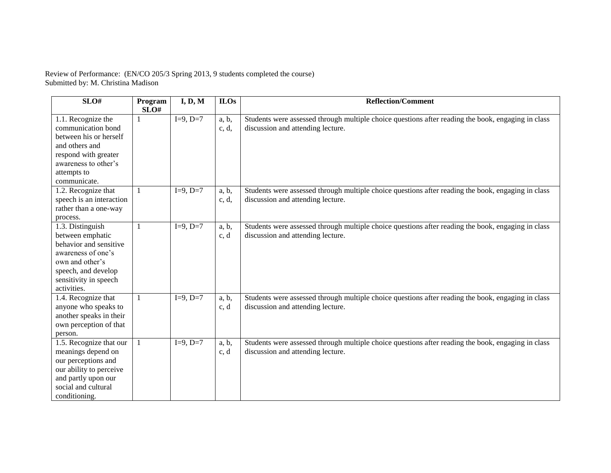Review of Performance: (EN/CO 205/3 Spring 2013, 9 students completed the course) Submitted by: M. Christina Madison

| SLO#                                                                                                                                                                   | Program | I, D, M    | <b>ILOs</b>    | <b>Reflection/Comment</b>                                                                                                               |
|------------------------------------------------------------------------------------------------------------------------------------------------------------------------|---------|------------|----------------|-----------------------------------------------------------------------------------------------------------------------------------------|
|                                                                                                                                                                        | SLO#    |            |                |                                                                                                                                         |
| 1.1. Recognize the<br>communication bond<br>between his or herself<br>and others and<br>respond with greater                                                           |         | $I=9, D=7$ | a, b,<br>c, d, | Students were assessed through multiple choice questions after reading the book, engaging in class<br>discussion and attending lecture. |
| awareness to other's<br>attempts to<br>communicate.                                                                                                                    |         |            |                |                                                                                                                                         |
| 1.2. Recognize that<br>speech is an interaction<br>rather than a one-way<br>process.                                                                                   |         | $I=9, D=7$ | a, b,<br>c, d, | Students were assessed through multiple choice questions after reading the book, engaging in class<br>discussion and attending lecture. |
| 1.3. Distinguish<br>between emphatic<br>behavior and sensitive<br>awareness of one's<br>own and other's<br>speech, and develop<br>sensitivity in speech<br>activities. |         | $I=9, D=7$ | a, b,<br>c, d  | Students were assessed through multiple choice questions after reading the book, engaging in class<br>discussion and attending lecture. |
| 1.4. Recognize that<br>anyone who speaks to<br>another speaks in their<br>own perception of that<br>person.                                                            | 1       | $I=9, D=7$ | a, b,<br>c, d  | Students were assessed through multiple choice questions after reading the book, engaging in class<br>discussion and attending lecture. |
| 1.5. Recognize that our<br>meanings depend on<br>our perceptions and<br>our ability to perceive<br>and partly upon our<br>social and cultural<br>conditioning.         |         | $I=9, D=7$ | a, b,<br>c, d  | Students were assessed through multiple choice questions after reading the book, engaging in class<br>discussion and attending lecture. |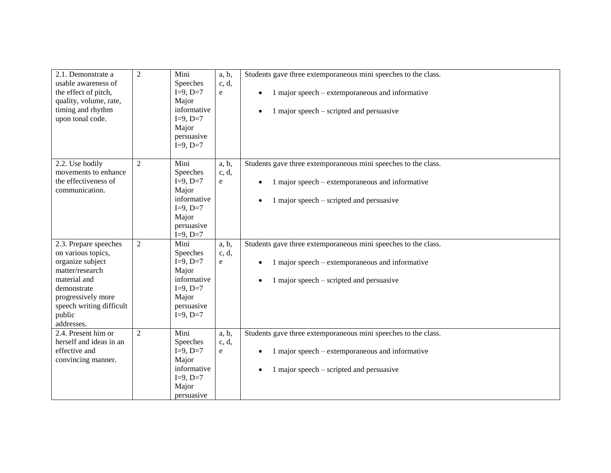| 2.1. Demonstrate a<br>usable awareness of<br>the effect of pitch,<br>quality, volume, rate,<br>timing and rhythm<br>upon tonal code.                                                        | $\overline{2}$ | Mini<br>Speeches<br>$I=9, D=7$<br>Major<br>informative<br>$I=9, D=7$<br>Major<br>persuasive<br>$I=9, D=7$ | a, b,<br>c, d,<br>e | Students gave three extemporaneous mini speeches to the class.<br>1 major speech – extemporaneous and informative<br>1 major speech – scripted and persuasive |
|---------------------------------------------------------------------------------------------------------------------------------------------------------------------------------------------|----------------|-----------------------------------------------------------------------------------------------------------|---------------------|---------------------------------------------------------------------------------------------------------------------------------------------------------------|
| 2.2. Use bodily<br>movements to enhance<br>the effectiveness of<br>communication.                                                                                                           | 2              | Mini<br>Speeches<br>$I=9, D=7$<br>Major<br>informative<br>$I=9, D=7$<br>Major<br>persuasive<br>$I=9, D=7$ | a, b,<br>c, d,<br>e | Students gave three extemporaneous mini speeches to the class.<br>1 major speech – extemporaneous and informative<br>1 major speech – scripted and persuasive |
| 2.3. Prepare speeches<br>on various topics,<br>organize subject<br>matter/research<br>material and<br>demonstrate<br>progressively more<br>speech writing difficult<br>public<br>addresses. | $\overline{2}$ | Mini<br>Speeches<br>$I=9, D=7$<br>Major<br>informative<br>$I=9, D=7$<br>Major<br>persuasive<br>$I=9, D=7$ | a, b,<br>c, d,<br>e | Students gave three extemporaneous mini speeches to the class.<br>1 major speech – extemporaneous and informative<br>1 major speech – scripted and persuasive |
| 2.4. Present him or<br>herself and ideas in an<br>effective and<br>convincing manner.                                                                                                       | 2              | Mini<br>Speeches<br>$I=9, D=7$<br>Major<br>informative<br>$I=9, D=7$<br>Major<br>persuasive               | a, b,<br>c, d,<br>e | Students gave three extemporaneous mini speeches to the class.<br>1 major speech – extemporaneous and informative<br>1 major speech – scripted and persuasive |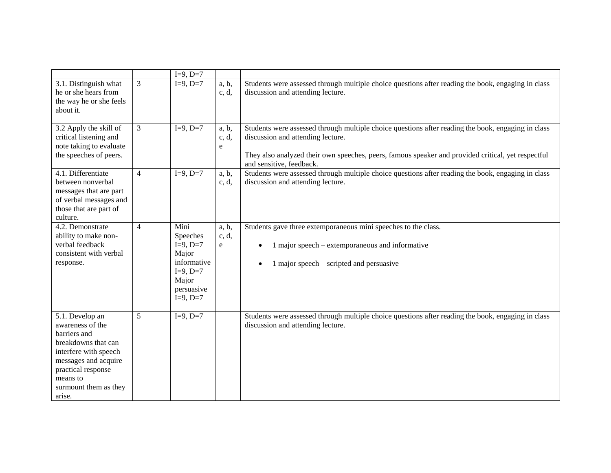|                                                                                                                                                                                                  |                | $I=9, D=7$                                                                                                |                                |                                                                                                                                                                                                                                                                           |
|--------------------------------------------------------------------------------------------------------------------------------------------------------------------------------------------------|----------------|-----------------------------------------------------------------------------------------------------------|--------------------------------|---------------------------------------------------------------------------------------------------------------------------------------------------------------------------------------------------------------------------------------------------------------------------|
| 3.1. Distinguish what<br>he or she hears from<br>the way he or she feels<br>about it.                                                                                                            | 3              | $I=9, D=7$                                                                                                | a, b,<br>c, d,                 | Students were assessed through multiple choice questions after reading the book, engaging in class<br>discussion and attending lecture.                                                                                                                                   |
| 3.2 Apply the skill of<br>critical listening and<br>note taking to evaluate<br>the speeches of peers.                                                                                            | $\mathfrak{Z}$ | $I=9, D=7$                                                                                                | a, b,<br>c, d,<br>$\mathbf{e}$ | Students were assessed through multiple choice questions after reading the book, engaging in class<br>discussion and attending lecture.<br>They also analyzed their own speeches, peers, famous speaker and provided critical, yet respectful<br>and sensitive, feedback. |
| 4.1. Differentiate<br>between nonverbal<br>messages that are part<br>of verbal messages and<br>those that are part of<br>culture.                                                                | $\overline{4}$ | $I=9, D=7$                                                                                                | a, b,<br>c, d,                 | Students were assessed through multiple choice questions after reading the book, engaging in class<br>discussion and attending lecture.                                                                                                                                   |
| 4.2. Demonstrate<br>ability to make non-<br>verbal feedback<br>consistent with verbal<br>response.                                                                                               | $\overline{4}$ | Mini<br>Speeches<br>$I=9, D=7$<br>Major<br>informative<br>$I=9, D=7$<br>Major<br>persuasive<br>$I=9, D=7$ | a, b,<br>c, d,<br>e            | Students gave three extemporaneous mini speeches to the class.<br>1 major speech – extemporaneous and informative<br>$\bullet$<br>1 major speech – scripted and persuasive                                                                                                |
| 5.1. Develop an<br>awareness of the<br>barriers and<br>breakdowns that can<br>interfere with speech<br>messages and acquire<br>practical response<br>means to<br>surmount them as they<br>arise. | 5              | $I=9, D=7$                                                                                                |                                | Students were assessed through multiple choice questions after reading the book, engaging in class<br>discussion and attending lecture.                                                                                                                                   |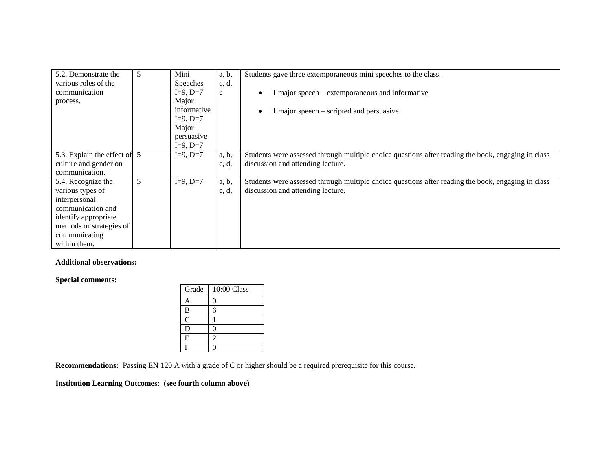| 5.2. Demonstrate the<br>various roles of the<br>communication<br>process. | 5 | Mini<br><b>Speeches</b><br>$I=9, D=7$<br>Major<br>informative<br>$I=9, D=7$<br>Major | a, b,<br>c, d,<br>e | Students gave three extemporaneous mini speeches to the class.<br>1 major speech – extemporaneous and informative<br>1 major speech – scripted and persuasive |
|---------------------------------------------------------------------------|---|--------------------------------------------------------------------------------------|---------------------|---------------------------------------------------------------------------------------------------------------------------------------------------------------|
|                                                                           |   | persuasive<br>$I=9, D=7$                                                             |                     |                                                                                                                                                               |
| 5.3. Explain the effect of 5                                              |   | $I=9, D=7$                                                                           | a, b,               | Students were assessed through multiple choice questions after reading the book, engaging in class                                                            |
| culture and gender on                                                     |   |                                                                                      | c, d,               | discussion and attending lecture.                                                                                                                             |
| communication.                                                            |   |                                                                                      |                     |                                                                                                                                                               |
| 5.4. Recognize the                                                        | 5 | $I=9, D=7$                                                                           | a, b,               | Students were assessed through multiple choice questions after reading the book, engaging in class                                                            |
| various types of                                                          |   |                                                                                      | c, d,               | discussion and attending lecture.                                                                                                                             |
| interpersonal                                                             |   |                                                                                      |                     |                                                                                                                                                               |
| communication and                                                         |   |                                                                                      |                     |                                                                                                                                                               |
| identify appropriate                                                      |   |                                                                                      |                     |                                                                                                                                                               |
| methods or strategies of                                                  |   |                                                                                      |                     |                                                                                                                                                               |
| communicating                                                             |   |                                                                                      |                     |                                                                                                                                                               |
| within them.                                                              |   |                                                                                      |                     |                                                                                                                                                               |

## **Additional observations:**

**Special comments:**

| Grade          | $10:00$ Class               |
|----------------|-----------------------------|
| Α              | 0                           |
| B              | б                           |
| $\overline{C}$ |                             |
| D              | በ                           |
| F              | $\mathcal{D}_{\mathcal{A}}$ |
|                |                             |

**Recommendations:** Passing EN 120 A with a grade of C or higher should be a required prerequisite for this course.

## **Institution Learning Outcomes: (see fourth column above)**